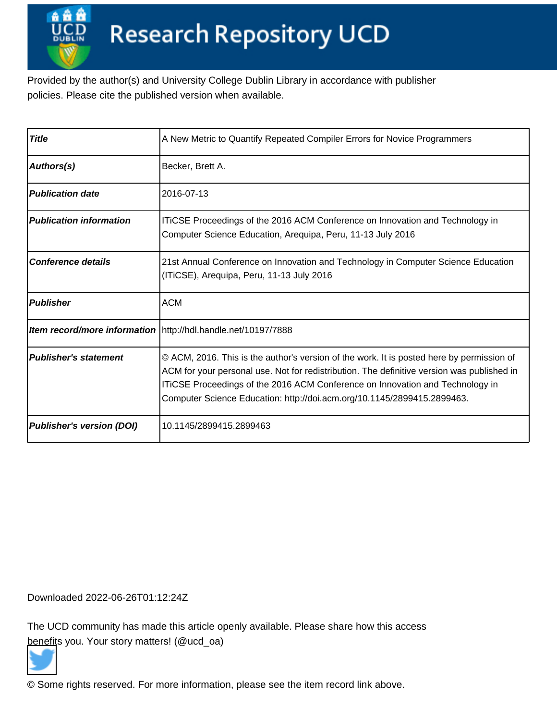Provided by the author(s) and University College Dublin Library in accordance with publisher policies. Please cite the published version when available.

| <b>Title</b>                     | A New Metric to Quantify Repeated Compiler Errors for Novice Programmers                                                                                                                                                                                                                                                                            |  |  |
|----------------------------------|-----------------------------------------------------------------------------------------------------------------------------------------------------------------------------------------------------------------------------------------------------------------------------------------------------------------------------------------------------|--|--|
| Authors(s)                       | Becker, Brett A.                                                                                                                                                                                                                                                                                                                                    |  |  |
| <b>Publication date</b>          | l2016-07-13                                                                                                                                                                                                                                                                                                                                         |  |  |
| <b>Publication information</b>   | ITICSE Proceedings of the 2016 ACM Conference on Innovation and Technology in<br>Computer Science Education, Arequipa, Peru, 11-13 July 2016                                                                                                                                                                                                        |  |  |
| <b>Conference details</b>        | 21st Annual Conference on Innovation and Technology in Computer Science Education<br>(ITiCSE), Arequipa, Peru, 11-13 July 2016                                                                                                                                                                                                                      |  |  |
| <b>Publisher</b>                 | <b>ACM</b>                                                                                                                                                                                                                                                                                                                                          |  |  |
|                                  | Item record/more information   http://hdl.handle.net/10197/7888                                                                                                                                                                                                                                                                                     |  |  |
| <b>Publisher's statement</b>     | © ACM, 2016. This is the author's version of the work. It is posted here by permission of<br>ACM for your personal use. Not for redistribution. The definitive version was published in<br>ITICSE Proceedings of the 2016 ACM Conference on Innovation and Technology in<br>Computer Science Education: http://doi.acm.org/10.1145/2899415.2899463. |  |  |
| <b>Publisher's version (DOI)</b> | 10.1145/2899415.2899463                                                                                                                                                                                                                                                                                                                             |  |  |

Downloaded 2022-06-26T01:12:24Z

The UCD community has made this article openly available. Please share how this access [benefit](https://twitter.com/intent/tweet?via=ucd_oa&text=DOI%3A10.1145%2F2899415.2899463&url=http%3A%2F%2Fhdl.handle.net%2F10197%2F7888)s you. Your story matters! (@ucd\_oa)



© Some rights reserved. For more information, please see the item record link above.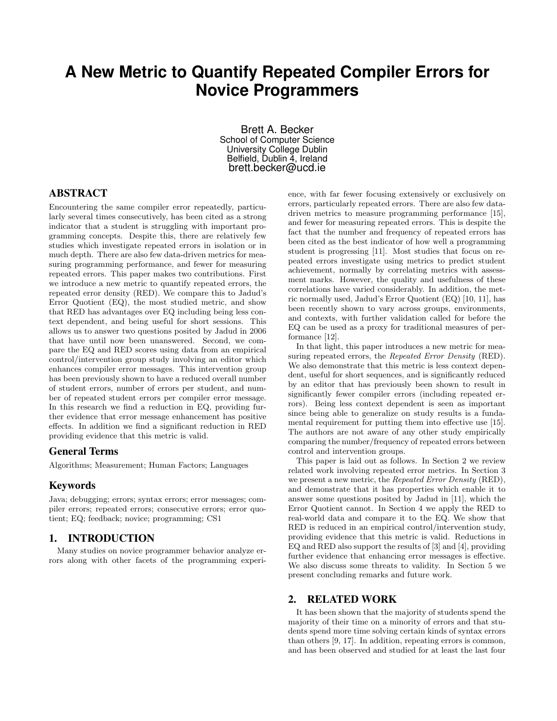# **A New Metric to Quantify Repeated Compiler Errors for Novice Programmers**

Brett A. Becker School of Computer Science University College Dublin Belfield, Dublin 4, Ireland brett.becker@ucd.ie

# ABSTRACT

Encountering the same compiler error repeatedly, particularly several times consecutively, has been cited as a strong indicator that a student is struggling with important programming concepts. Despite this, there are relatively few studies which investigate repeated errors in isolation or in much depth. There are also few data-driven metrics for measuring programming performance, and fewer for measuring repeated errors. This paper makes two contributions. First we introduce a new metric to quantify repeated errors, the repeated error density (RED). We compare this to Jadud's Error Quotient (EQ), the most studied metric, and show that RED has advantages over EQ including being less context dependent, and being useful for short sessions. This allows us to answer two questions posited by Jadud in 2006 that have until now been unanswered. Second, we compare the EQ and RED scores using data from an empirical control/intervention group study involving an editor which enhances compiler error messages. This intervention group has been previously shown to have a reduced overall number of student errors, number of errors per student, and number of repeated student errors per compiler error message. In this research we find a reduction in EQ, providing further evidence that error message enhancement has positive effects. In addition we find a significant reduction in RED providing evidence that this metric is valid.

### General Terms

Algorithms; Measurement; Human Factors; Languages

## Keywords

Java; debugging; errors; syntax errors; error messages; compiler errors; repeated errors; consecutive errors; error quotient; EQ; feedback; novice; programming; CS1

## 1. INTRODUCTION

Many studies on novice programmer behavior analyze errors along with other facets of the programming experience, with far fewer focusing extensively or exclusively on errors, particularly repeated errors. There are also few datadriven metrics to measure programming performance [15], and fewer for measuring repeated errors. This is despite the fact that the number and frequency of repeated errors has been cited as the best indicator of how well a programming student is progressing [11]. Most studies that focus on repeated errors investigate using metrics to predict student achievement, normally by correlating metrics with assessment marks. However, the quality and usefulness of these correlations have varied considerably. In addition, the metric normally used, Jadud's Error Quotient (EQ) [10, 11], has been recently shown to vary across groups, environments, and contexts, with further validation called for before the EQ can be used as a proxy for traditional measures of performance [12].

In that light, this paper introduces a new metric for measuring repeated errors, the *Repeated Error Density* (RED). We also demonstrate that this metric is less context dependent, useful for short sequences, and is significantly reduced by an editor that has previously been shown to result in significantly fewer compiler errors (including repeated errors). Being less context dependent is seen as important since being able to generalize on study results is a fundamental requirement for putting them into effective use [15]. The authors are not aware of any other study empirically comparing the number/frequency of repeated errors between control and intervention groups.

This paper is laid out as follows. In Section 2 we review related work involving repeated error metrics. In Section 3 we present a new metric, the Repeated Error Density (RED), and demonstrate that it has properties which enable it to answer some questions posited by Jadud in [11], which the Error Quotient cannot. In Section 4 we apply the RED to real-world data and compare it to the EQ. We show that RED is reduced in an empirical control/intervention study, providing evidence that this metric is valid. Reductions in EQ and RED also support the results of [3] and [4], providing further evidence that enhancing error messages is effective. We also discuss some threats to validity. In Section 5 we present concluding remarks and future work.

## 2. RELATED WORK

It has been shown that the majority of students spend the majority of their time on a minority of errors and that students spend more time solving certain kinds of syntax errors than others [9, 17]. In addition, repeating errors is common, and has been observed and studied for at least the last four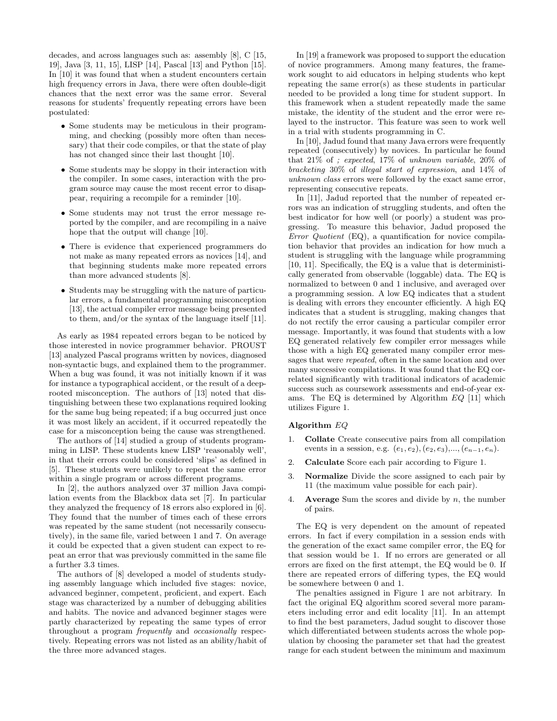decades, and across languages such as: assembly [8], C [15, 19], Java [3, 11, 15], LISP [14], Pascal [13] and Python [15]. In [10] it was found that when a student encounters certain high frequency errors in Java, there were often double-digit chances that the next error was the same error. Several reasons for students' frequently repeating errors have been postulated:

- Some students may be meticulous in their programming, and checking (possibly more often than necessary) that their code compiles, or that the state of play has not changed since their last thought [10].
- Some students may be sloppy in their interaction with the compiler. In some cases, interaction with the program source may cause the most recent error to disappear, requiring a recompile for a reminder [10].
- Some students may not trust the error message reported by the compiler, and are recompiling in a naive hope that the output will change [10].
- There is evidence that experienced programmers do not make as many repeated errors as novices [14], and that beginning students make more repeated errors than more advanced students [8].
- Students may be struggling with the nature of particular errors, a fundamental programming misconception [13], the actual compiler error message being presented to them, and/or the syntax of the language itself [11].

As early as 1984 repeated errors began to be noticed by those interested in novice programmer behavior. PROUST [13] analyzed Pascal programs written by novices, diagnosed non-syntactic bugs, and explained them to the programmer. When a bug was found, it was not initially known if it was for instance a typographical accident, or the result of a deeprooted misconception. The authors of [13] noted that distinguishing between these two explanations required looking for the same bug being repeated; if a bug occurred just once it was most likely an accident, if it occurred repeatedly the case for a misconception being the cause was strengthened.

The authors of [14] studied a group of students programming in LISP. These students knew LISP 'reasonably well', in that their errors could be considered 'slips' as defined in [5]. These students were unlikely to repeat the same error within a single program or across different programs.

In [2], the authors analyzed over 37 million Java compilation events from the Blackbox data set [7]. In particular they analyzed the frequency of 18 errors also explored in [6]. They found that the number of times each of these errors was repeated by the same student (not necessarily consecutively), in the same file, varied between 1 and 7. On average it could be expected that a given student can expect to repeat an error that was previously committed in the same file a further 3.3 times.

The authors of [8] developed a model of students studying assembly language which included five stages: novice, advanced beginner, competent, proficient, and expert. Each stage was characterized by a number of debugging abilities and habits. The novice and advanced beginner stages were partly characterized by repeating the same types of error throughout a program frequently and occasionally respectively. Repeating errors was not listed as an ability/habit of the three more advanced stages.

In [19] a framework was proposed to support the education of novice programmers. Among many features, the framework sought to aid educators in helping students who kept repeating the same error(s) as these students in particular needed to be provided a long time for student support. In this framework when a student repeatedly made the same mistake, the identity of the student and the error were relayed to the instructor. This feature was seen to work well in a trial with students programming in C.

In [10], Jadud found that many Java errors were frequently repeated (consecutively) by novices. In particular he found that 21% of ; expected, 17% of unknown variable, 20% of bracketing 30% of illegal start of expression, and 14% of unknown class errors were followed by the exact same error, representing consecutive repeats.

In [11], Jadud reported that the number of repeated errors was an indication of struggling students, and often the best indicator for how well (or poorly) a student was progressing. To measure this behavior, Jadud proposed the Error Quotient (EQ), a quantification for novice compilation behavior that provides an indication for how much a student is struggling with the language while programming [10, 11]. Specifically, the EQ is a value that is deterministically generated from observable (loggable) data. The EQ is normalized to between 0 and 1 inclusive, and averaged over a programming session. A low EQ indicates that a student is dealing with errors they encounter efficiently. A high EQ indicates that a student is struggling, making changes that do not rectify the error causing a particular compiler error message. Importantly, it was found that students with a low EQ generated relatively few compiler error messages while those with a high EQ generated many compiler error messages that were repeated, often in the same location and over many successive compilations. It was found that the EQ correlated significantly with traditional indicators of academic success such as coursework assessments and end-of-year exams. The EQ is determined by Algorithm EQ [11] which utilizes Figure 1.

#### Algorithm EQ

- 1. Collate Create consecutive pairs from all compilation events in a session, e.g.  $(e_1, e_2), (e_2, e_3), ..., (e_{n-1}, e_n).$
- 2. Calculate Score each pair according to Figure 1.
- Normalize Divide the score assigned to each pair by 11 (the maximum value possible for each pair).
- 4. Average Sum the scores and divide by  $n$ , the number of pairs.

The EQ is very dependent on the amount of repeated errors. In fact if every compilation in a session ends with the generation of the exact same compiler error, the EQ for that session would be 1. If no errors are generated or all errors are fixed on the first attempt, the EQ would be 0. If there are repeated errors of differing types, the EQ would be somewhere between 0 and 1.

The penalties assigned in Figure 1 are not arbitrary. In fact the original EQ algorithm scored several more parameters including error and edit locality [11]. In an attempt to find the best parameters, Jadud sought to discover those which differentiated between students across the whole population by choosing the parameter set that had the greatest range for each student between the minimum and maximum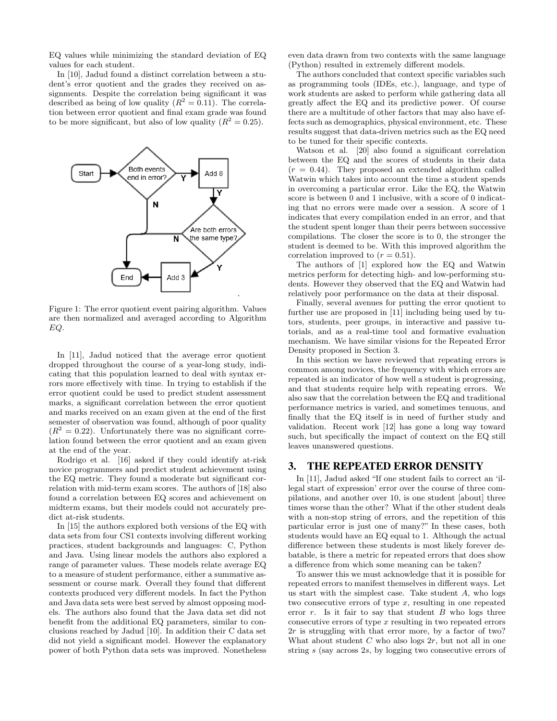EQ values while minimizing the standard deviation of EQ values for each student.

In [10], Jadud found a distinct correlation between a student's error quotient and the grades they received on assignments. Despite the correlation being significant it was described as being of low quality  $(R^2 = 0.11)$ . The correlation between error quotient and final exam grade was found to be more significant, but also of low quality  $(R^2 = 0.25)$ .



Figure 1: The error quotient event pairing algorithm. Values are then normalized and averaged according to Algorithm EQ.

In [11], Jadud noticed that the average error quotient dropped throughout the course of a year-long study, indicating that this population learned to deal with syntax errors more effectively with time. In trying to establish if the error quotient could be used to predict student assessment marks, a significant correlation between the error quotient and marks received on an exam given at the end of the first semester of observation was found, although of poor quality  $(R^2 = 0.22)$ . Unfortunately there was no significant correlation found between the error quotient and an exam given at the end of the year.

Rodrigo et al. [16] asked if they could identify at-risk novice programmers and predict student achievement using the EQ metric. They found a moderate but significant correlation with mid-term exam scores. The authors of [18] also found a correlation between EQ scores and achievement on midterm exams, but their models could not accurately predict at-risk students.

In [15] the authors explored both versions of the EQ with data sets from four CS1 contexts involving different working practices, student backgrounds and languages: C, Python and Java. Using linear models the authors also explored a range of parameter values. These models relate average EQ to a measure of student performance, either a summative assessment or course mark. Overall they found that different contexts produced very different models. In fact the Python and Java data sets were best served by almost opposing models. The authors also found that the Java data set did not benefit from the additional EQ parameters, similar to conclusions reached by Jadud [10]. In addition their C data set did not yield a significant model. However the explanatory power of both Python data sets was improved. Nonetheless even data drawn from two contexts with the same language (Python) resulted in extremely different models.

The authors concluded that context specific variables such as programming tools (IDEs, etc.), language, and type of work students are asked to perform while gathering data all greatly affect the EQ and its predictive power. Of course there are a multitude of other factors that may also have effects such as demographics, physical environment, etc. These results suggest that data-driven metrics such as the EQ need to be tuned for their specific contexts.

Watson et al. [20] also found a significant correlation between the EQ and the scores of students in their data  $(r = 0.44)$ . They proposed an extended algorithm called Watwin which takes into account the time a student spends in overcoming a particular error. Like the EQ, the Watwin score is between 0 and 1 inclusive, with a score of 0 indicating that no errors were made over a session. A score of 1 indicates that every compilation ended in an error, and that the student spent longer than their peers between successive compilations. The closer the score is to 0, the stronger the student is deemed to be. With this improved algorithm the correlation improved to  $(r = 0.51)$ .

The authors of [1] explored how the EQ and Watwin metrics perform for detecting high- and low-performing students. However they observed that the EQ and Watwin had relatively poor performance on the data at their disposal.

Finally, several avenues for putting the error quotient to further use are proposed in [11] including being used by tutors, students, peer groups, in interactive and passive tutorials, and as a real-time tool and formative evaluation mechanism. We have similar visions for the Repeated Error Density proposed in Section 3.

In this section we have reviewed that repeating errors is common among novices, the frequency with which errors are repeated is an indicator of how well a student is progressing, and that students require help with repeating errors. We also saw that the correlation between the EQ and traditional performance metrics is varied, and sometimes tenuous, and finally that the EQ itself is in need of further study and validation. Recent work [12] has gone a long way toward such, but specifically the impact of context on the EQ still leaves unanswered questions.

## 3. THE REPEATED ERROR DENSITY

In [11], Jadud asked "If one student fails to correct an 'illegal start of expression' error over the course of three compilations, and another over 10, is one student [about] three times worse than the other? What if the other student deals with a non-stop string of errors, and the repetition of this particular error is just one of many?" In these cases, both students would have an EQ equal to 1. Although the actual difference between these students is most likely forever debatable, is there a metric for repeated errors that does show a difference from which some meaning can be taken?

To answer this we must acknowledge that it is possible for repeated errors to manifest themselves in different ways. Let us start with the simplest case. Take student A, who logs two consecutive errors of type x, resulting in one repeated error  $r$ . Is it fair to say that student  $B$  who logs three consecutive errors of type x resulting in two repeated errors  $2r$  is struggling with that error more, by a factor of two? What about student  $C$  who also logs  $2r$ , but not all in one string s (say across 2s, by logging two consecutive errors of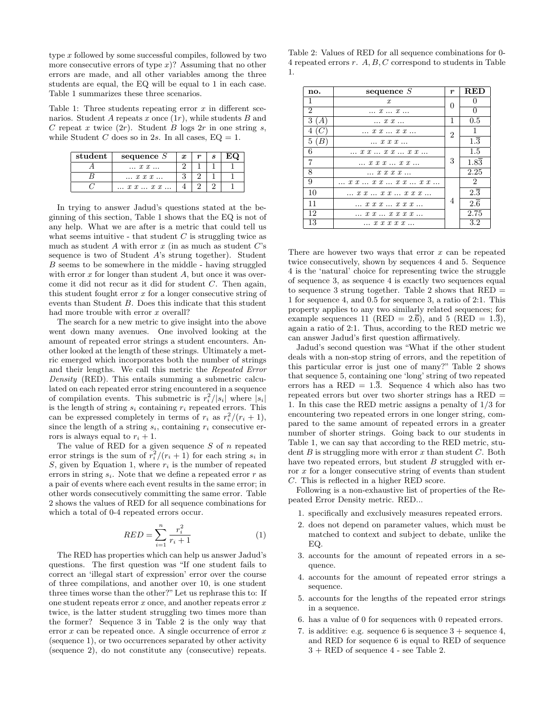type x followed by some successful compiles, followed by two more consecutive errors of type  $x$ ? Assuming that no other errors are made, and all other variables among the three students are equal, the EQ will be equal to 1 in each case. Table 1 summarizes these three scenarios.

Table 1: Three students repeating error  $x$  in different scenarios. Student A repeats x once  $(1r)$ , while students B and C repeat x twice  $(2r)$ . Student B logs  $2r$  in one string s, while Student C does so in 2s. In all cases,  $EQ = 1$ .

| student | sequence $S$                       | $\boldsymbol{x}$ | $\mathbf{c}$ |  |
|---------|------------------------------------|------------------|--------------|--|
|         | $\ldots x x \ldots$                |                  |              |  |
|         | $\ldots$ x x x $\ldots$            |                  |              |  |
|         | $\ldots$ x x $\ldots$ x x $\ldots$ |                  |              |  |

In trying to answer Jadud's questions stated at the beginning of this section, Table 1 shows that the EQ is not of any help. What we are after is a metric that could tell us what seems intuitive - that student  $C$  is struggling twice as much as student  $A$  with error  $x$  (in as much as student  $C$ 's sequence is two of Student A's strung together). Student B seems to be somewhere in the middle - having struggled with error  $x$  for longer than student  $A$ , but once it was overcome it did not recur as it did for student C. Then again, this student fought error  $x$  for a longer consecutive string of events than Student B. Does this indicate that this student had more trouble with error x overall?

The search for a new metric to give insight into the above went down many avenues. One involved looking at the amount of repeated error strings a student encounters. Another looked at the length of these strings. Ultimately a metric emerged which incorporates both the number of strings and their lengths. We call this metric the Repeated Error Density (RED). This entails summing a submetric calculated on each repeated error string encountered in a sequence of compilation events. This submetric is  $r_i^2/|s_i|$  where  $|s_i|$ is the length of string  $s_i$  containing  $r_i$  repeated errors. This can be expressed completely in terms of  $r_i$  as  $r_i^2/(r_i+1)$ , since the length of a string  $s_i$ , containing  $r_i$  consecutive errors is always equal to  $r_i + 1$ .

The value of RED for a given sequence  $S$  of  $n$  repeated error strings is the sum of  $r_i^2/(r_i+1)$  for each string  $s_i$  in S, given by Equation 1, where  $r_i$  is the number of repeated errors in string  $s_i$ . Note that we define a repeated error  $r$  as a pair of events where each event results in the same error; in other words consecutively committing the same error. Table 2 shows the values of RED for all sequence combinations for which a total of 0-4 repeated errors occur.

$$
RED = \sum_{i=1}^{n} \frac{r_i^2}{r_i + 1}
$$
 (1)

The RED has properties which can help us answer Jadud's questions. The first question was "If one student fails to correct an 'illegal start of expression' error over the course of three compilations, and another over 10, is one student three times worse than the other?" Let us rephrase this to: If one student repeats error  $x$  once, and another repeats error  $x$ twice, is the latter student struggling two times more than the former? Sequence 3 in Table 2 is the only way that error  $x$  can be repeated once. A single occurrence of error  $x$ (sequence 1), or two occurrences separated by other activity (sequence 2), do not constitute any (consecutive) repeats.

| Table 2: Values of RED for all sequence combinations for 0-    |  |
|----------------------------------------------------------------|--|
| 4 repeated errors r. $A, B, C$ correspond to students in Table |  |
|                                                                |  |

| no.            | sequence $S$                                         | $\boldsymbol{r}$ | RED              |
|----------------|------------------------------------------------------|------------------|------------------|
| 1              | $\mathcal{X}$                                        | 0                | $\mathbf{0}$     |
| 2              | $\ldots$ $x \ldots x \ldots$                         |                  | $\theta$         |
| 3(A)           | $\ldots$ x x $\ldots$                                | 1                | 0.5              |
| (C)<br>4       | $\ldots x x \ldots x x \ldots$                       | 2                | 1                |
| 5(B)           | $\ldots$ x x $x$ $\ldots$                            |                  | $1.\overline{3}$ |
| 6              | $\ldots$ x x $\ldots$ x x $\ldots$ x x $\ldots$      | З                | 1.5              |
| $\overline{7}$ | x x x  x x                                           |                  | 1.83             |
| 8              | $\ldots$ x x x $\ldots$                              |                  | 2.25             |
| 9              | $\ldots x x \ldots x x \ldots x x \ldots x x \ldots$ | 4                | $\overline{2}$   |
| 10             | $\ldots x x \ldots x x \ldots x x x \ldots$          |                  | $2.\overline{3}$ |
| 11             | $\ldots x x x \ldots x x x \ldots$                   |                  | $2.\overline{6}$ |
| 12             | $\ldots x x \ldots x x x x \ldots$                   |                  | 2.75             |
| 13             | $\ldots$ x x x x $\ldots$                            |                  | 3.2              |

There are however two ways that error  $x$  can be repeated twice consecutively, shown by sequences 4 and 5. Sequence 4 is the 'natural' choice for representing twice the struggle of sequence 3, as sequence 4 is exactly two sequences equal to sequence 3 strung together. Table 2 shows that RED = 1 for sequence 4, and 0.5 for sequence 3, a ratio of 2:1. This property applies to any two similarly related sequences; for example sequences 11 (RED =  $2.\overline{6}$ ), and 5 (RED =  $1.\overline{3}$ ), again a ratio of 2:1. Thus, according to the RED metric we can answer Jadud's first question affirmatively.

Jadud's second question was "What if the other student deals with a non-stop string of errors, and the repetition of this particular error is just one of many?" Table 2 shows that sequence 5, containing one 'long' string of two repeated errors has a RED =  $1.\overline{3}$ . Sequence 4 which also has two repeated errors but over two shorter strings has a RED = 1. In this case the RED metric assigns a penalty of 1/3 for encountering two repeated errors in one longer string, compared to the same amount of repeated errors in a greater number of shorter strings. Going back to our students in Table 1, we can say that according to the RED metric, student  $B$  is struggling more with error  $x$  than student  $C$ . Both have two repeated errors, but student B struggled with error x for a longer consecutive string of events than student C. This is reflected in a higher RED score.

Following is a non-exhaustive list of properties of the Repeated Error Density metric. RED...

- 1. specifically and exclusively measures repeated errors.
- 2. does not depend on parameter values, which must be matched to context and subject to debate, unlike the EQ.
- 3. accounts for the amount of repeated errors in a sequence.
- 4. accounts for the amount of repeated error strings a sequence.
- 5. accounts for the lengths of the repeated error strings in a sequence.
- 6. has a value of 0 for sequences with 0 repeated errors.
- 7. is additive: e.g. sequence 6 is sequence  $3 + \text{sequence } 4$ , and RED for sequence 6 is equal to RED of sequence 3 + RED of sequence 4 - see Table 2.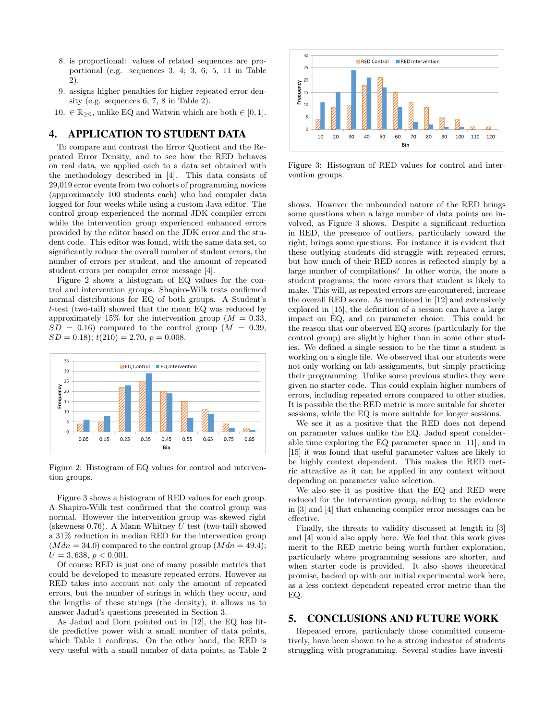- 8. is proportional: values of related sequences are proportional (e.g. sequences 3, 4; 3, 6; 5, 11 in Table 2).
- 9. assigns higher penalties for higher repeated error density (e.g. sequences 6, 7, 8 in Table 2).
- 10.  $\in \mathbb{R}_{\geq 0}$ , unlike EQ and Watwin which are both  $\in [0, 1]$ .

## 4. APPLICATION TO STUDENT DATA

To compare and contrast the Error Quotient and the Repeated Error Density, and to see how the RED behaves on real data, we applied each to a data set obtained with the methodology described in [4]. This data consists of 29,019 error events from two cohorts of programming novices (approximately 100 students each) who had compiler data logged for four weeks while using a custom Java editor. The control group experienced the normal JDK compiler errors while the intervention group experienced enhanced errors provided by the editor based on the JDK error and the student code. This editor was found, with the same data set, to significantly reduce the overall number of student errors, the number of errors per student, and the amount of repeated student errors per compiler error message [4].

Figure 2 shows a histogram of EQ values for the control and intervention groups. Shapiro-Wilk tests confirmed normal distributions for EQ of both groups. A Student's t-test (two-tail) showed that the mean EQ was reduced by approximately 15% for the intervention group ( $M = 0.33$ ,  $SD = 0.16$ ) compared to the control group  $(M = 0.39,$  $SD = 0.18$ ;  $t(210) = 2.70$ ,  $p = 0.008$ .



Figure 2: Histogram of EQ values for control and intervention groups.

Figure 3 shows a histogram of RED values for each group. A Shapiro-Wilk test confirmed that the control group was normal. However the intervention group was skewed right (skewness 0.76). A Mann-Whitney  $U$  test (two-tail) showed a 31% reduction in median RED for the intervention group  $(Mdn = 34.0)$  compared to the control group  $(Mdn = 49.4);$  $U = 3,638, p < 0.001.$ 

Of course RED is just one of many possible metrics that could be developed to measure repeated errors. However as RED takes into account not only the amount of repeated errors, but the number of strings in which they occur, and the lengths of these strings (the density), it allows us to answer Jadud's questions presented in Section 3.

As Jadud and Dorn pointed out in [12], the EQ has little predictive power with a small number of data points, which Table 1 confirms. On the other hand, the RED is very useful with a small number of data points, as Table 2



Figure 3: Histogram of RED values for control and intervention groups.

shows. However the unbounded nature of the RED brings some questions when a large number of data points are involved, as Figure 3 shows. Despite a significant reduction in RED, the presence of outliers, particularly toward the right, brings some questions. For instance it is evident that these outlying students did struggle with repeated errors, but how much of their RED scores is reflected simply by a large number of compilations? In other words, the more a student programs, the more errors that student is likely to make. This will, as repeated errors are encountered, increase the overall RED score. As mentioned in [12] and extensively explored in [15], the definition of a session can have a large impact on EQ, and on parameter choice. This could be the reason that our observed EQ scores (particularly for the control group) are slightly higher than in some other studies. We defined a single session to be the time a student is working on a single file. We observed that our students were not only working on lab assignments, but simply practicing their programming. Unlike some previous studies they were given no starter code. This could explain higher numbers of errors, including repeated errors compared to other studies. It is possible the the RED metric is more suitable for shorter sessions, while the EQ is more suitable for longer sessions.

We see it as a positive that the RED does not depend on parameter values unlike the EQ. Jadud spent considerable time exploring the EQ parameter space in [11], and in [15] it was found that useful parameter values are likely to be highly context dependent. This makes the RED metric attractive as it can be applied in any context without depending on parameter value selection.

We also see it as positive that the EQ and RED were reduced for the intervention group, adding to the evidence in [3] and [4] that enhancing compiler error messages can be effective.

Finally, the threats to validity discussed at length in [3] and [4] would also apply here. We feel that this work gives merit to the RED metric being worth further exploration, particularly where programming sessions are shorter, and when starter code is provided. It also shows theoretical promise, backed up with our initial experimental work here, as a less context dependent repeated error metric than the EQ.

## 5. CONCLUSIONS AND FUTURE WORK

Repeated errors, particularly those committed consecutively, have been shown to be a strong indicator of students struggling with programming. Several studies have investi